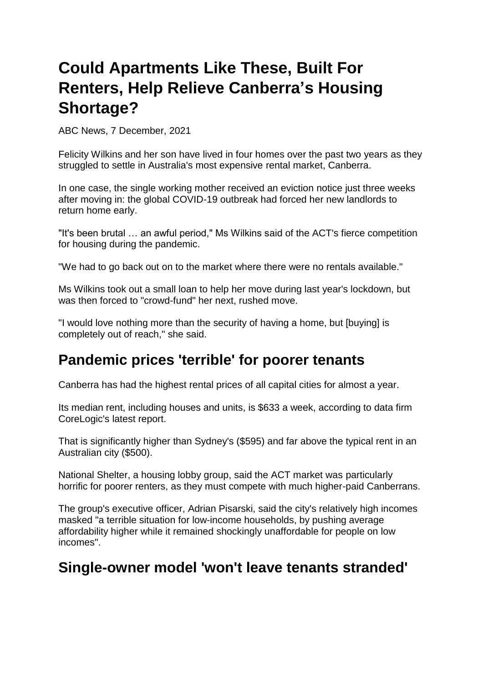## **Could Apartments Like These, Built For Renters, Help Relieve Canberra's Housing Shortage?**

ABC News, 7 December, 2021

Felicity Wilkins and her son have lived in four homes over the past two years as they struggled to settle in Australia's most expensive rental market, Canberra.

In one case, the single working mother received an eviction notice just three weeks after moving in: the global COVID-19 outbreak had forced her new landlords to return home early.

"It's been brutal … an awful period," Ms Wilkins said of the ACT's fierce competition for housing during the pandemic.

"We had to go back out on to the market where there were no rentals available."

Ms Wilkins took out a small loan to help her move during last year's lockdown, but was then forced to "crowd-fund" her next, rushed move.

"I would love nothing more than the security of having a home, but [buying] is completely out of reach," she said.

## **Pandemic prices 'terrible' for poorer tenants**

Canberra has had the highest rental prices of all capital cities for almost a year.

Its median rent, including houses and units, is \$633 a week, according to data firm CoreLogic's latest report.

That is significantly higher than Sydney's (\$595) and far above the typical rent in an Australian city (\$500).

National Shelter, a housing lobby group, said the ACT market was particularly horrific for poorer renters, as they must compete with much higher-paid Canberrans.

The group's executive officer, Adrian Pisarski, said the city's relatively high incomes masked "a terrible situation for low-income households, by pushing average affordability higher while it remained shockingly unaffordable for people on low incomes".

## **Single-owner model 'won't leave tenants stranded'**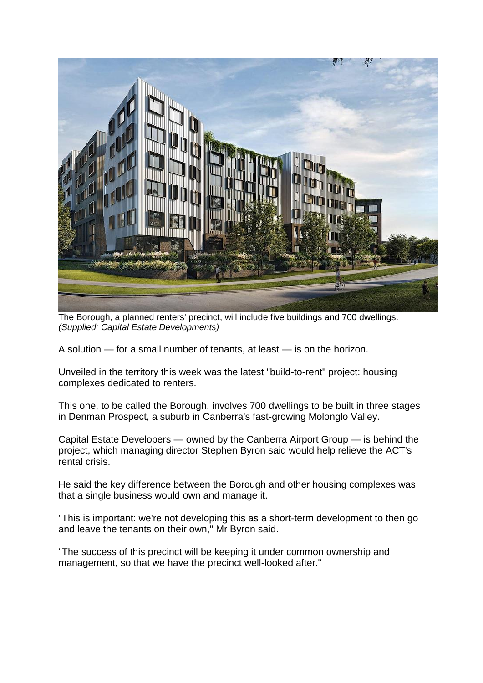

The Borough, a planned renters' precinct, will include five buildings and 700 dwellings. *(Supplied: Capital Estate Developments)*

A solution — for a small number of tenants, at least — is on the horizon.

Unveiled in the territory this week was the latest "build-to-rent" project: housing complexes dedicated to renters.

This one, to be called the Borough, involves 700 dwellings to be built in three stages in Denman Prospect, a suburb in Canberra's fast-growing Molonglo Valley.

Capital Estate Developers — owned by the Canberra Airport Group — is behind the project, which managing director Stephen Byron said would help relieve the ACT's rental crisis.

He said the key difference between the Borough and other housing complexes was that a single business would own and manage it.

"This is important: we're not developing this as a short-term development to then go and leave the tenants on their own," Mr Byron said.

"The success of this precinct will be keeping it under common ownership and management, so that we have the precinct well-looked after."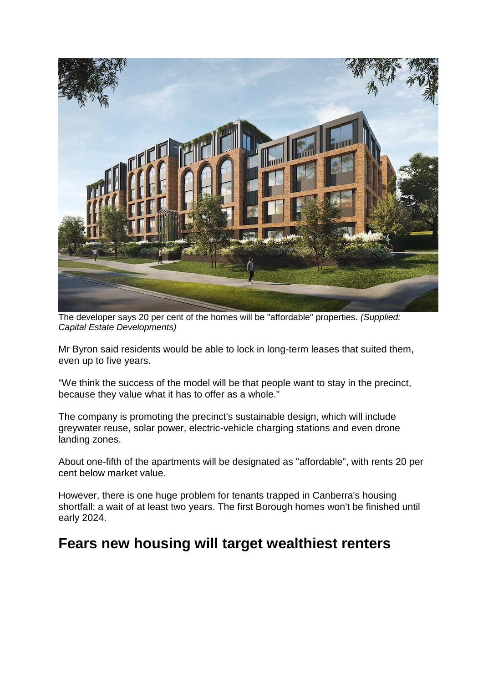

The developer says 20 per cent of the homes will be "affordable" properties. *(Supplied: Capital Estate Developments)*

Mr Byron said residents would be able to lock in long-term leases that suited them, even up to five years.

"We think the success of the model will be that people want to stay in the precinct, because they value what it has to offer as a whole."

The company is promoting the precinct's sustainable design, which will include greywater reuse, solar power, electric-vehicle charging stations and even drone landing zones.

About one-fifth of the apartments will be designated as "affordable", with rents 20 per cent below market value.

However, there is one huge problem for tenants trapped in Canberra's housing shortfall: a wait of at least two years. The first Borough homes won't be finished until early 2024.

## **Fears new housing will target wealthiest renters**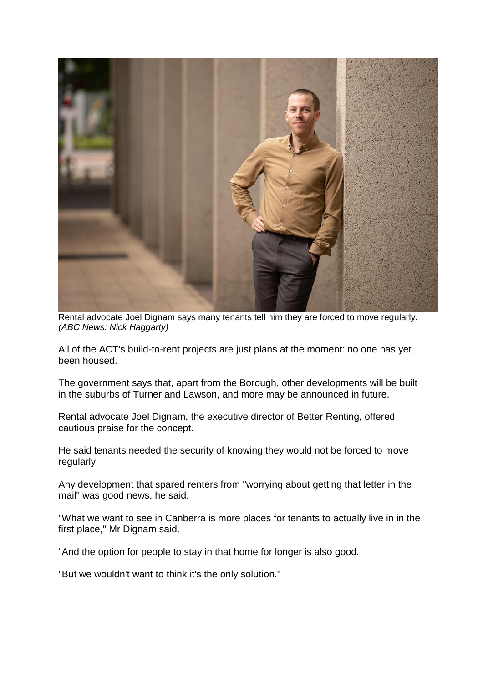

Rental advocate Joel Dignam says many tenants tell him they are forced to move regularly. *(ABC News: Nick Haggarty)*

All of the ACT's build-to-rent projects are just plans at the moment: no one has yet been housed.

The government says that, apart from the Borough, other developments will be built in the suburbs of Turner and Lawson, and more may be announced in future.

Rental advocate Joel Dignam, the executive director of Better Renting, offered cautious praise for the concept.

He said tenants needed the security of knowing they would not be forced to move regularly.

Any development that spared renters from "worrying about getting that letter in the mail" was good news, he said.

"What we want to see in Canberra is more places for tenants to actually live in in the first place," Mr Dignam said.

"And the option for people to stay in that home for longer is also good.

"But we wouldn't want to think it's the only solution."